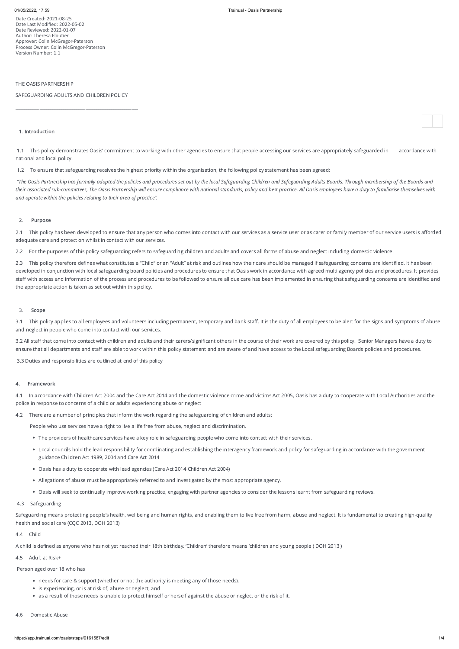Date Created: 2021-08-25 Date Last Modified: 2022-05-02 Date Reviewed: 2022-01-07 Author: Theresa Floutier Approver: Colin McGregor-Paterson Process Owner: Colin McGregor-Paterson Version Number: 1.1

### THE OASIS PARTNERSHIP

SAFEGUARDING ADULTS AND CHILDREN POLICY

\_\_\_\_\_\_\_\_\_\_\_\_\_\_\_\_\_\_\_\_\_\_\_\_\_\_\_\_\_\_\_\_\_\_\_\_\_\_\_\_\_\_\_\_\_\_\_\_\_\_\_\_\_\_\_\_

#### 1. Introduction

1.1 This policy demonstrates Oasis' commitment to working with other agencies to ensure that people accessing our services are appropriately safeguarded in accordance with national and local policy.

1.2 To ensure that safeguarding receives the highest priority within the organisation, the following policy statement has been agreed:

2.1 This policy has been developed to ensure that any person who comes into contact with our services as a service user or as carer or family member of our service users is afforded adequate care and protection whilst in contact with our services.

"The Oasis Partnership has formally adopted the policies and procedures set out by the local Safeguarding Children and Safeguarding Adults Boards. Through membership of the Boards and their associated sub-committees, The Oasis Partnership will ensure compliance with national standards, policy and best practice. All Oasis employees have a duty to familiarise themselves with and operate within the policies relating to their area of practice".

2.3 This policy therefore defines what constitutes a "Child" or an "Adult" at risk and outlines how their care should be managed if safeguarding concerns are identified. It has been developed in conjunction with local safeguarding board policies and procedures to ensure that Oasis work in accordance with agreed multi agency policies and procedures. It provides staff with access and information of the process and procedures to be followed to ensure all due care has been implemented in ensuring that safeguarding concerns are identified and the appropriate action is taken as set out within this policy.

# 2. Purpose

3.1 This policy applies to all employees and volunteers including permanent, temporary and bank staff. It is the duty of all employees to be alert for the signs and symptoms of abuse and neglect in people who come into contact with our services.

2.2 For the purposes of this policy safeguarding refers to safeguarding children and adults and covers all forms of abuse and neglect including domestic violence.

#### 3. Scope

- needs for care & support (whether or not the authority is meeting any of those needs),
- is experiencing, or is at risk of, abuse or neglect, and
- as a result of those needs is unable to protect himself or herself against the abuse or neglect or the risk of it.

3.2 All staff that come into contact with children and adults and their carers/significant others in the course of their work are covered by this policy. Senior Managers have a duty to ensure that all departments and staff are able to work within this policy statement and are aware of and have access to the Local safeguarding Boards policies and procedures.

3.3 Duties and responsibilities are outlined at end of this policy

### 4. Framework

4.1 In accordance with Children Act 2004 and the Care Act 2014 and the domestic violence crime and victims Act 2005, Oasis has a duty to cooperate with Local Authorities and the police in response to concerns of a child or adults experiencing abuse or neglect

4.2 There are a number of principles that inform the work regarding the safeguarding of children and adults:

People who use services have a right to live a life free from abuse, neglect and discrimination.

- The providers of healthcare services have a key role in safeguarding people who come into contact with their services.
- Local councils hold the lead responsibility for coordinating and establishing the interagency framework and policy for safeguarding in accordance with the government guidance Children Act 1989, 2004 and Care Act 2014
- Oasis has a duty to cooperate with lead agencies (Care Act 2014 Children Act 2004)
- Allegations of abuse must be appropriately referred to and investigated by the most appropriate agency.

Oasis will seek to continually improve working practice, engaging with partner agencies to consider the lessons learnt from safeguarding reviews.

# 4.3 Safeguarding

Safeguarding means protecting people's health, wellbeing and human rights, and enabling them to live free from harm, abuse and neglect. It is fundamental to creating high-quality health and social care (CQC 2013, DOH 2013)

# 4.4 Child

A child is defined as anyone who has not yet reached their 18th birthday. 'Children' therefore means 'children and young people ( DOH 2013 )

4.5 Adult at Risk+

# Person aged over 18 who has

4.6 Domestic Abuse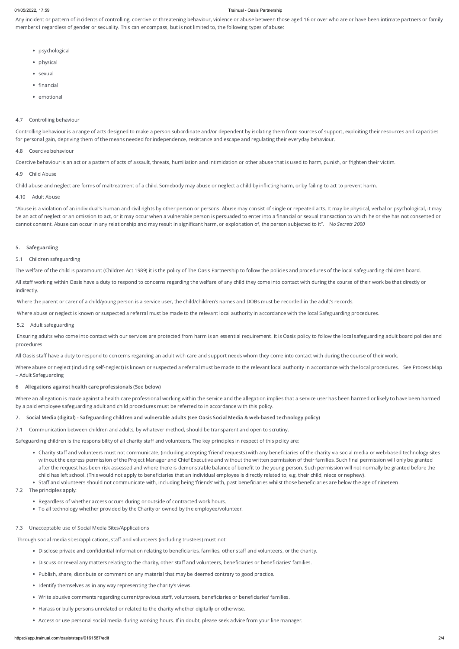#### 01/05/2022, 17:59 Trainual - Oasis Partnership

Any incident or pattern of incidents of controlling, coercive or threatening behaviour, violence or abuse between those aged 16 or over who are or have been intimate partners or family members1 regardless of gender or sexuality. This can encompass, but is not limited to, the following types of abuse:

- psychological
- physical
- sexual
- financial
- emotional

# 4.7 Controlling behaviour

Controlling behaviour is a range of acts designed to make a person subordinate and/or dependent by isolating them from sources of support, exploiting their resources and capacities for personal gain, depriving them of the means needed for independence, resistance and escape and regulating their everyday behaviour.

# 4.8 Coercive behaviour

"Abuse is a violation of an individual's human and civil rights by other person or persons. Abuse may consist of single or repeated acts. It may be physical, verbal or psychological, it may be an act of neglect or an omission to act, or it may occur when a vulnerable person is persuaded to enter into a financial or sexual transaction to which he or she has not consented or cannot consent. Abuse can occur in any relationship and may result in significant harm, or exploitation of, the person subjected to it". No Secrets 2000

Coercive behaviour is an act or a pattern of acts of assault, threats, humiliation and intimidation or other abuse that is used to harm, punish, or frighten their victim.

# 4.9 Child Abuse

Child abuse and neglect are forms of maltreatment of a child. Somebody may abuse or neglect a child by inflicting harm, or by failing to act to prevent harm.

# 4.10 Adult Abuse

Where abuse or neglect (including self-neglect) is known or suspected a referral must be made to the relevant local authority in accordance with the local procedures. See Process Map – Adult Safeguarding

# 5. Safeguarding

# 5.1 Children safeguarding

The welfare of the child is paramount (Children Act 1989) it is the policy of The Oasis Partnership to follow the policies and procedures of the local safeguarding children board.

All staff working within Oasis have a duty to respond to concerns regarding the welfare of any child they come into contact with during the course of their work be that directly or indirectly.

Where the parent or carer of a child/young person is a service user, the child/children's names and DOBs must be recorded in the adult's records.

Where abuse or neglect is known or suspected a referral must be made to the relevant local authority in accordance with the local Safeguarding procedures.

- The principles apply:
	- Regardless of whether access occurs during or outside of contracted work hours.
	- To all technology whether provided by the Charity or owned by the employee/volunteer.
- 7.3 Unacceptable use of Social Media Sites/Applications

# 5.2 Adult safeguarding

Ensuring adults who come into contact with our services are protected from harm is an essential requirement. It is Oasis policy to follow the local safeguarding adult board policies and procedures

All Oasis staff have a duty to respond to concerns regarding an adult with care and support needs whom they come into contact with during the course of their work.

# 6 Allegations against health care professionals (See below)

Where an allegation is made against a health care professional working within the service and the allegation implies that a service user has been harmed or likely to have been harmed by a paid employee safeguarding adult and child procedures must be referred to in accordance with this policy.

# 7. Social Media (digital) - Safeguarding children and vulnerable adults (see Oasis Social Media & web-based technology policy)

7.1 Communication between children and adults, by whatever method, should be transparent and open to scrutiny.

Safeguarding children is the responsibility of all charity staff and volunteers. The key principles in respect of this policy are:

- Charity staff and volunteers must not communicate, (including accepting 'friend' requests) with any beneficiaries of the charity via social media or web-based technology sites without the express permission of the Project Manager and Chief Executive and without the written permission of their families. Such final permission will only be granted after the request has been risk assessed and where there is demonstrable balance of benefit to the young person. Such permission will not normally be granted before the child has left school. (This would not apply to beneficiaries that an individual employee is directly related to, e.g. their child, niece or nephew).
- Staff and volunteers should not communicate with, including being 'friends' with, past beneficiaries whilst those beneficiaries are below the age of nineteen.

Through social media sites/applications, staff and volunteers (including trustees) must not:

- Disclose private and confidential information relating to beneficiaries, families, other staff and volunteers, or the charity.
- Discuss or reveal any matters relating to the charity, other staff and volunteers, beneficiaries or beneficiaries' families.
- Publish, share, distribute or comment on any material that may be deemed contrary to good practice.
- Identify themselves as in any way representing the charity's views.
- Write abusive comments regarding current/previous staff, volunteers, beneficiaries or beneficiaries' families.
- Harass or bully persons unrelated or related to the charity whether digitally or otherwise.
- Access or use personal social media during working hours. If in doubt, please seek advice from your line manager.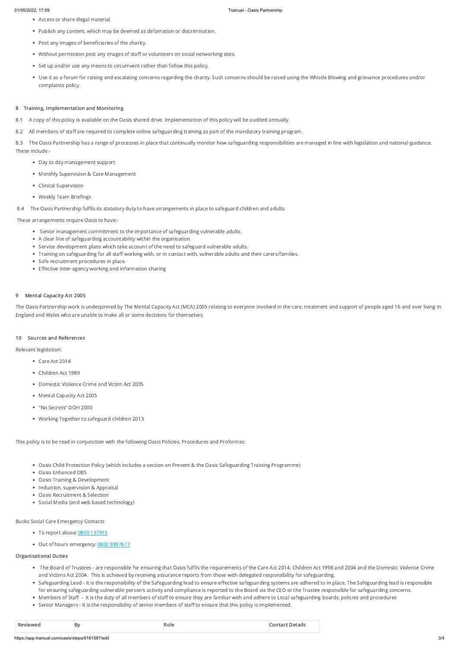- Access or share illegal material.
- Publish any content, which may be deemed as defamation or discrimination.
- Post any images of beneficiaries of the charity.
- Without permission post any images of staff or volunteers on social networking sites.
- Set up and/or use any means to circumvent rather than follow this policy.
- Use it as a forum for raising and escalating concerns regarding the charity. Such concerns should be raised using the Whistle Blowing and grievance procedures and/or complaints policy.

8.3 The Oasis Partnership has a range of processes in place that continually monitor how safeguarding responsibilities are managed in line with legislation and national guidance. These include:-

## 8 Training, Implementation and Monitoring

- 8.1 A copy of this policy is available on the Oasis shared drive. Implementation of this policy will be audited annually.
- 8.2 All members of staff are required to complete online safeguarding training as part of the mandatory training program.

- Senior management commitment to the importance of safeguarding vulnerable adults.
- A clear line of safeguarding accountability within the organisation.
- Service development plans which take account of the need to safeguard vulnerable adults.
- Training on safeguarding for all staff working with, or in contact with, vulnerable adults and their carers/families.
- Safe recruitment procedures in place.
- Effective inter-agency working and information sharing

The Oasis Partnership work is underpinned by The Mental Capacity Act (MCA) 2005 relating to everyone involved in the care, treatment and support of people aged 16 and over living in England and Wales who are unable to make all or some decisions for themselves.

- Care Act 2014
- Children Act 1989
- Domestic Violence Crime and Victim Act 2005
- Mental Capacity Act 2005
- "No Secrets" DOH 2000
- Working Together to safeguard children 2013
- Day to day management support
- Monthly Supervision & Case Management
- Clinical Supervision
- Weekly Team Briefings
- 8.4 The Oasis Partnership fulfils its statutory duty to have arrangements in place to safeguard children and adults.

- Oasis Child Protection Policy (which includes a section on Prevent & the Oasis Safeguarding Training Programme)
- Oasis Enhanced DBS
- Oasis Training & Development
- Induction, supervision & Appraisal
- 
- Oasis Recruitment & Selection
- Social Media (and web based technology)

# These arrangements require Oasis to have:-

## 9 Mental Capacity Act 2005

### 10 Sources and References

Relevant legislation:

This policy is to be read in conjunction with the following Oasis Policies, Procedures and Proformas:

#### Bucks Social Care Emergency Contacts

- To report abuse: 0800 [137915](tel:0800137915)
- Out of hours emergency: 0800 [9997677](tel:0800137915)

# Organisational Duties

- The Board of Trustees are responsible for ensuring that Oasis fulfils the requirements of the Care Act 2014, Children Act 1998 and 2004 and the Domestic Violence Crime and Victims Act 2004. This is achieved by receiving assurance reports from those with delegated responsibility for safeguarding.
- Safeguarding Lead It is the responsibility of the Safeguarding lead to ensure effective safeguarding systems are adhered to in place. The Safeguarding lead is responsible for ensuring safeguarding vulnerable person's activity and compliance is reported to the Board via the CEO or the Trustee responsible for safeguarding concerns.
- Members of Staff It is the duty of all members of staff to ensure they are familiar with and adhere to Local safeguarding boards, policies and procedures
- Senior Managers It is the responsibility of senior members of staff to ensure that this policy is implemented.

| $D_{\text{max}}$ | Βv | ≺oie<br>. | ----- |
|------------------|----|-----------|-------|
|------------------|----|-----------|-------|